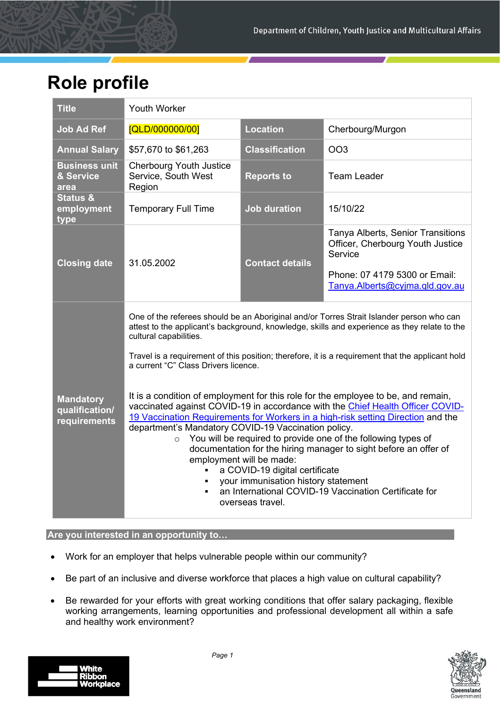# **Role profile**

| <b>Title</b>                                       | <b>Youth Worker</b>                                                                                                                                                                                                                                                                                                                                                                                                                                                                                                                                                                                                                                                                                    |                        |                                                                                  |  |
|----------------------------------------------------|--------------------------------------------------------------------------------------------------------------------------------------------------------------------------------------------------------------------------------------------------------------------------------------------------------------------------------------------------------------------------------------------------------------------------------------------------------------------------------------------------------------------------------------------------------------------------------------------------------------------------------------------------------------------------------------------------------|------------------------|----------------------------------------------------------------------------------|--|
| <b>Job Ad Ref</b>                                  | [QLD/000000/00]                                                                                                                                                                                                                                                                                                                                                                                                                                                                                                                                                                                                                                                                                        | <b>Location</b>        | Cherbourg/Murgon                                                                 |  |
| <b>Annual Salary</b>                               | \$57,670 to \$61,263                                                                                                                                                                                                                                                                                                                                                                                                                                                                                                                                                                                                                                                                                   | <b>Classification</b>  | <b>OO3</b>                                                                       |  |
| <b>Business unit</b><br>& Service<br>area          | <b>Cherbourg Youth Justice</b><br>Service, South West<br>Region                                                                                                                                                                                                                                                                                                                                                                                                                                                                                                                                                                                                                                        | <b>Reports to</b>      | <b>Team Leader</b>                                                               |  |
| <b>Status &amp;</b><br>employment<br>type          | <b>Temporary Full Time</b>                                                                                                                                                                                                                                                                                                                                                                                                                                                                                                                                                                                                                                                                             | <b>Job duration</b>    | 15/10/22                                                                         |  |
| <b>Closing date</b>                                | 31.05.2002                                                                                                                                                                                                                                                                                                                                                                                                                                                                                                                                                                                                                                                                                             | <b>Contact details</b> | Tanya Alberts, Senior Transitions<br>Officer, Cherbourg Youth Justice<br>Service |  |
|                                                    |                                                                                                                                                                                                                                                                                                                                                                                                                                                                                                                                                                                                                                                                                                        |                        | Phone: 07 4179 5300 or Email:<br>Tanya.Alberts@cyjma.qld.gov.au                  |  |
|                                                    | One of the referees should be an Aboriginal and/or Torres Strait Islander person who can<br>attest to the applicant's background, knowledge, skills and experience as they relate to the<br>cultural capabilities.<br>Travel is a requirement of this position; therefore, it is a requirement that the applicant hold<br>a current "C" Class Drivers licence.                                                                                                                                                                                                                                                                                                                                         |                        |                                                                                  |  |
| <b>Mandatory</b><br>qualification/<br>requirements | It is a condition of employment for this role for the employee to be, and remain,<br>vaccinated against COVID-19 in accordance with the Chief Health Officer COVID-<br>19 Vaccination Requirements for Workers in a high-risk setting Direction and the<br>department's Mandatory COVID-19 Vaccination policy.<br>You will be required to provide one of the following types of<br>$\circ$<br>documentation for the hiring manager to sight before an offer of<br>employment will be made:<br>a COVID-19 digital certificate<br>$\blacksquare$<br>your immunisation history statement<br>$\blacksquare$<br>an International COVID-19 Vaccination Certificate for<br>$\blacksquare$<br>overseas travel. |                        |                                                                                  |  |

# **Are you interested in an opportunity to…**

- Work for an employer that helps vulnerable people within our community?
- Be part of an inclusive and diverse workforce that places a high value on cultural capability?
- Be rewarded for your efforts with great working conditions that offer salary packaging, flexible working arrangements, learning opportunities and professional development all within a safe and healthy work environment?



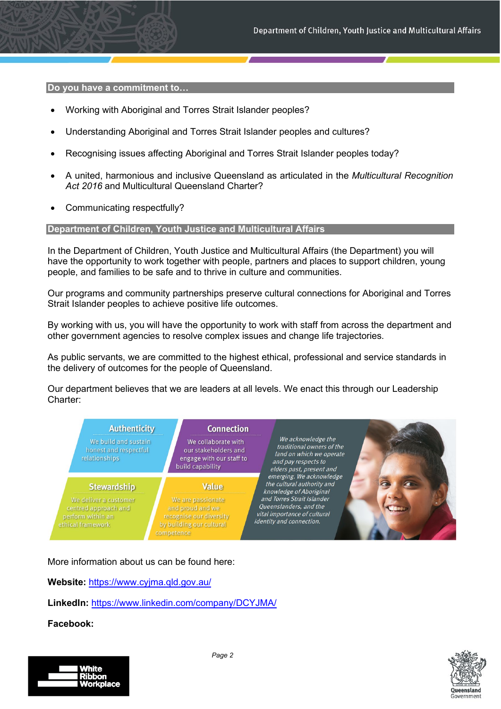**Do you have a commitment to…** 

- Working with Aboriginal and Torres Strait Islander peoples?
- Understanding Aboriginal and Torres Strait Islander peoples and cultures?
- Recognising issues affecting Aboriginal and Torres Strait Islander peoples today?
- A united, harmonious and inclusive Queensland as articulated in the *Multicultural Recognition Act 2016* and Multicultural Queensland Charter?
- Communicating respectfully?

#### **Department of Children, Youth Justice and Multicultural Affairs**

In the Department of Children, Youth Justice and Multicultural Affairs (the Department) you will have the opportunity to work together with people, partners and places to support children, young people, and families to be safe and to thrive in culture and communities.

Our programs and community partnerships preserve cultural connections for Aboriginal and Torres Strait Islander peoples to achieve positive life outcomes.

By working with us, you will have the opportunity to work with staff from across the department and other government agencies to resolve complex issues and change life trajectories.

As public servants, we are committed to the highest ethical, professional and service standards in the delivery of outcomes for the people of Queensland.

Our department believes that we are leaders at all levels. We enact this through our Leadership Charter:



More information about us can be found here:

**Website:** <https://www.cyjma.qld.gov.au/>

**LinkedIn:** [https://www.linkedin.com/company/DCYJMA/](https://www.linkedin.com/company/dcsyw) 

**Facebook:**

| l White          |
|------------------|
| l Ribbon         |
| <b>Workplace</b> |
|                  |



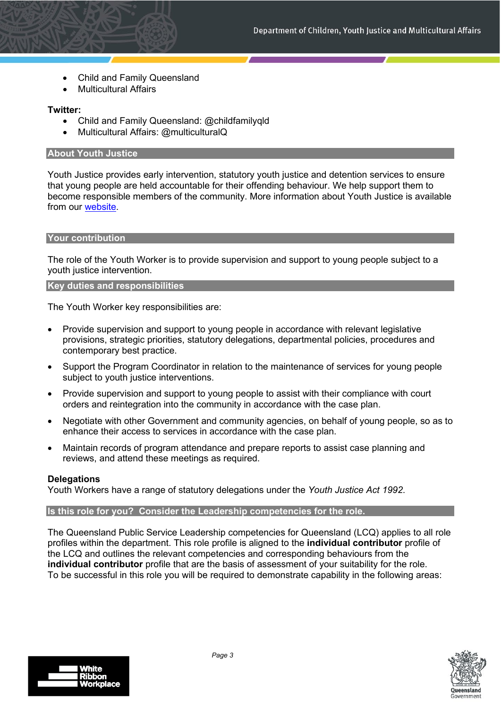- [Child and Family Queensland](https://www.facebook.com/childfamilyqld)
- Multicultural Affairs

# **Twitter:**

- Child and Family Queensland: [@childfamilyqld](https://twitter.com/childfamilyqld)
- Multicultural Affairs: @multiculturalQ

### **About Youth Justice**

Youth Justice provides early intervention, statutory youth justice and detention services to ensure that young people are held accountable for their offending behaviour. We help support them to become responsible members of the community. More information about Youth Justice is available from our [website.](https://www.qld.gov.au/law/sentencing-prisons-and-probation/young-offenders-and-the-justice-system)

### **Your contribution**

The role of the Youth Worker is to provide supervision and support to young people subject to a youth justice intervention.

### **Key duties and responsibilities**

The Youth Worker key responsibilities are:

- Provide supervision and support to young people in accordance with relevant legislative provisions, strategic priorities, statutory delegations, departmental policies, procedures and contemporary best practice.
- Support the Program Coordinator in relation to the maintenance of services for young people subject to youth justice interventions.
- Provide supervision and support to young people to assist with their compliance with court orders and reintegration into the community in accordance with the case plan.
- Negotiate with other Government and community agencies, on behalf of young people, so as to enhance their access to services in accordance with the case plan.
- Maintain records of program attendance and prepare reports to assist case planning and reviews, and attend these meetings as required.

# **Delegations**

Youth Workers have a range of statutory delegations under the *Youth Justice Act 1992*.

#### **Is this role for you? Consider the Leadership competencies for the role.**

The Queensland Public Service Leadership competencies for Queensland (LCQ) applies to all role profiles within the department. This role profile is aligned to the **individual contributor** profile of the LCQ and outlines the relevant competencies and corresponding behaviours from the **individual contributor** profile that are the basis of assessment of your suitability for the role. To be successful in this role you will be required to demonstrate capability in the following areas:



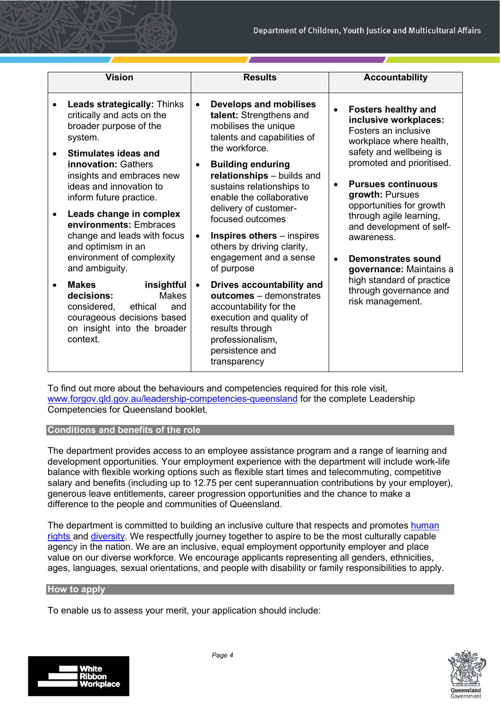| <b>Vision</b>                                                                                                                                                                                                                                                                                                                                                                                                                                                                                                                                                                                                                            | <b>Results</b>                                                                                                                                                                                                                                                                                                                                                                                                                                                                                                                                                                                                                                           | <b>Accountability</b>                                                                                                                                                                                                                                                                                                                                                                                                                                                        |  |  |
|------------------------------------------------------------------------------------------------------------------------------------------------------------------------------------------------------------------------------------------------------------------------------------------------------------------------------------------------------------------------------------------------------------------------------------------------------------------------------------------------------------------------------------------------------------------------------------------------------------------------------------------|----------------------------------------------------------------------------------------------------------------------------------------------------------------------------------------------------------------------------------------------------------------------------------------------------------------------------------------------------------------------------------------------------------------------------------------------------------------------------------------------------------------------------------------------------------------------------------------------------------------------------------------------------------|------------------------------------------------------------------------------------------------------------------------------------------------------------------------------------------------------------------------------------------------------------------------------------------------------------------------------------------------------------------------------------------------------------------------------------------------------------------------------|--|--|
| <b>Leads strategically: Thinks</b><br>$\bullet$<br>critically and acts on the<br>broader purpose of the<br>system.<br><b>Stimulates ideas and</b><br>$\bullet$<br><b>innovation: Gathers</b><br>insights and embraces new<br>ideas and innovation to<br>inform future practice.<br>Leads change in complex<br>$\bullet$<br>environments: Embraces<br>change and leads with focus<br>and optimism in an<br>environment of complexity<br>and ambiguity.<br><b>Makes</b><br>insightful<br>$\bullet$<br>decisions:<br><b>Makes</b><br>considered,<br>ethical<br>and<br>courageous decisions based<br>on insight into the broader<br>context. | <b>Develops and mobilises</b><br>$\bullet$<br>talent: Strengthens and<br>mobilises the unique<br>talents and capabilities of<br>the workforce.<br><b>Building enduring</b><br>$\bullet$<br>relationships - builds and<br>sustains relationships to<br>enable the collaborative<br>delivery of customer-<br>focused outcomes<br><b>Inspires others</b> – inspires<br>$\bullet$<br>others by driving clarity,<br>engagement and a sense<br>of purpose<br>Drives accountability and<br>$\bullet$<br>outcomes - demonstrates<br>accountability for the<br>execution and quality of<br>results through<br>professionalism,<br>persistence and<br>transparency | <b>Fosters healthy and</b><br>inclusive workplaces:<br>Fosters an inclusive<br>workplace where health,<br>safety and wellbeing is<br>promoted and prioritised.<br><b>Pursues continuous</b><br>$\bullet$<br>growth: Pursues<br>opportunities for growth<br>through agile learning,<br>and development of self-<br>awareness.<br><b>Demonstrates sound</b><br>$\bullet$<br>governance: Maintains a<br>high standard of practice<br>through governance and<br>risk management. |  |  |

To find out more about the behaviours and competencies required for this role visit, [www.forgov.qld.gov.au/leadership-competencies-queensland](http://www.forgov.qld.gov.au/leadership-competencies-queensland) for the complete Leadership Competencies for Queensland booklet.

# **Conditions and benefits of the role**

The department provides access to an employee assistance program and a range of learning and development opportunities. Your employment experience with the department will include work-life balance with flexible working options such as flexible start times and telecommuting, competitive salary and benefits (including up to 12.75 per cent superannuation contributions by your employer), generous leave entitlements, career progression opportunities and the chance to make a difference to the people and communities of Queensland.

The department is committed to building an inclusive culture that respects and promotes human [rights](https://www.forgov.qld.gov.au/humanrights) and [diversity.](https://www.forgov.qld.gov.au/inclusion-and-diversity-commitment) We respectfully journey together to aspire to be the most culturally capable agency in the nation. We are an inclusive, equal employment opportunity employer and place value on our diverse workforce. We encourage applicants representing all genders, ethnicities, ages, languages, sexual orientations, and people with disability or family responsibilities to apply.

#### **How to apply**

To enable us to assess your merit, your application should include:



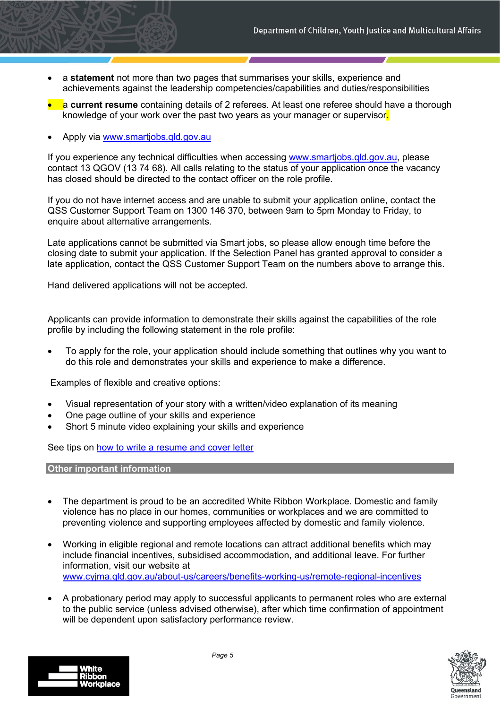- a **statement** not more than two pages that summarises your skills, experience and achievements against the leadership competencies/capabilities and duties/responsibilities
- a **current resume** containing details of 2 referees. At least one referee should have a thorough knowledge of your work over the past two years as your manager or supervisor.
- Apply via [www.smartjobs.qld.gov.au](http://www.smartjobs.qld.gov.au/)

If you experience any technical difficulties when accessing [www.smartjobs.qld.gov.au,](http://www.smartjobs.qld.gov.au/) please contact 13 QGOV (13 74 68). All calls relating to the status of your application once the vacancy has closed should be directed to the contact officer on the role profile.

If you do not have internet access and are unable to submit your application online, contact the QSS Customer Support Team on 1300 146 370, between 9am to 5pm Monday to Friday, to enquire about alternative arrangements.

Late applications cannot be submitted via Smart jobs, so please allow enough time before the closing date to submit your application. If the Selection Panel has granted approval to consider a late application, contact the QSS Customer Support Team on the numbers above to arrange this.

Hand delivered applications will not be accepted.

Applicants can provide information to demonstrate their skills against the capabilities of the role profile by including the following statement in the role profile:

• To apply for the role, your application should include something that outlines why you want to do this role and demonstrates your skills and experience to make a difference.

Examples of flexible and creative options:

- Visual representation of your story with a written/video explanation of its meaning
- One page outline of your skills and experience
- Short 5 minute video explaining your skills and experience

See tips on [how to write a resume and cover letter](https://www.qld.gov.au/jobs/finding/pages/resume.html)

**Other important information** 

- The department is proud to be an accredited White Ribbon Workplace. Domestic and family violence has no place in our homes, communities or workplaces and we are committed to preventing violence and supporting employees affected by domestic and family violence.
- Working in eligible regional and remote locations can attract additional benefits which may include financial incentives, subsidised accommodation, and additional leave. For further information, visit our website at [www.cyjma.qld.gov.au/about-us/careers/benefits-working-us/remote-regional-incentives](http://www.cyjma.qld.gov.au/about-us/careers/benefits-working-us/remote-regional-incentives)
- A probationary period may apply to successful applicants to permanent roles who are external to the public service (unless advised otherwise), after which time confirmation of appointment will be dependent upon satisfactory performance review.